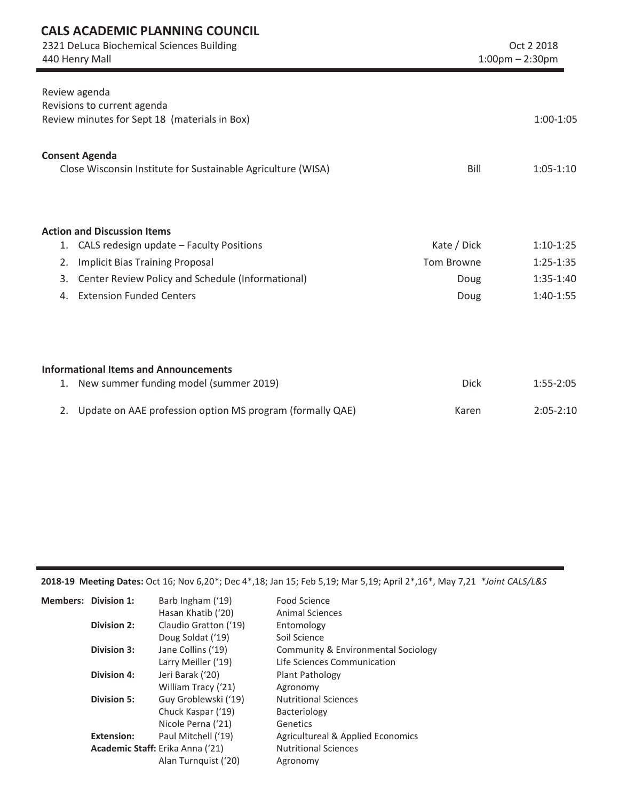#### **CALS ACADEMIC PLANNING COUNCIL**

| <b>CALS ACADEMIC PLANNING COUNCIL</b><br>2321 DeLuca Biochemical Sciences Building<br>440 Henry Mall | Oct 2 2018<br>$1:00 \text{pm} - 2:30 \text{pm}$ |               |  |
|------------------------------------------------------------------------------------------------------|-------------------------------------------------|---------------|--|
| Review agenda                                                                                        |                                                 |               |  |
| Revisions to current agenda                                                                          |                                                 |               |  |
| Review minutes for Sept 18 (materials in Box)                                                        |                                                 | $1:00-1:05$   |  |
| <b>Consent Agenda</b>                                                                                |                                                 |               |  |
| Close Wisconsin Institute for Sustainable Agriculture (WISA)                                         | Bill                                            | $1:05 - 1:10$ |  |
|                                                                                                      |                                                 |               |  |
| <b>Action and Discussion Items</b><br>CALS redesign update - Faculty Positions<br>1.                 | Kate / Dick                                     | $1:10-1:25$   |  |
| <b>Implicit Bias Training Proposal</b><br>2.                                                         | <b>Tom Browne</b>                               | $1:25-1:35$   |  |
| Center Review Policy and Schedule (Informational)<br>3.                                              | Doug                                            | 1:35-1:40     |  |
| <b>Extension Funded Centers</b><br>4.                                                                | Doug                                            | 1:40-1:55     |  |
|                                                                                                      |                                                 |               |  |
| <b>Informational Items and Announcements</b>                                                         |                                                 |               |  |
| 1. New summer funding model (summer 2019)                                                            | <b>Dick</b>                                     | 1:55-2:05     |  |
| Update on AAE profession option MS program (formally QAE)<br>2.                                      | Karen                                           | $2:05 - 2:10$ |  |

**2018-19 Meeting Dates:** Oct 16; Nov 6,20\*; Dec 4\*,18; Jan 15; Feb 5,19; Mar 5,19; April 2\*,16\*, May 7,21 *\*Joint CALS/L&S*

| <b>Members: Division 1:</b> |                    | Barb Ingham ('19)<br>Hasan Khatib ('20) | Food Science<br><b>Animal Sciences</b> |
|-----------------------------|--------------------|-----------------------------------------|----------------------------------------|
|                             | <b>Division 2:</b> | Claudio Gratton ('19)                   | Entomology                             |
|                             |                    | Doug Soldat ('19)                       | Soil Science                           |
| <b>Division 3:</b>          |                    | Jane Collins ('19)                      | Community & Environmental Sociology    |
|                             |                    | Larry Meiller ('19)                     | Life Sciences Communication            |
|                             | <b>Division 4:</b> | Jeri Barak ('20)                        | Plant Pathology                        |
|                             |                    | William Tracy ('21)                     | Agronomy                               |
|                             | <b>Division 5:</b> | Guy Groblewski ('19)                    | <b>Nutritional Sciences</b>            |
|                             |                    | Chuck Kaspar ('19)                      | Bacteriology                           |
|                             |                    | Nicole Perna ('21)                      | Genetics                               |
|                             | <b>Extension:</b>  | Paul Mitchell ('19)                     | Agricultureal & Applied Economics      |
|                             |                    | Academic Staff: Erika Anna ('21)        | <b>Nutritional Sciences</b>            |
|                             |                    | Alan Turnquist ('20)                    | Agronomy                               |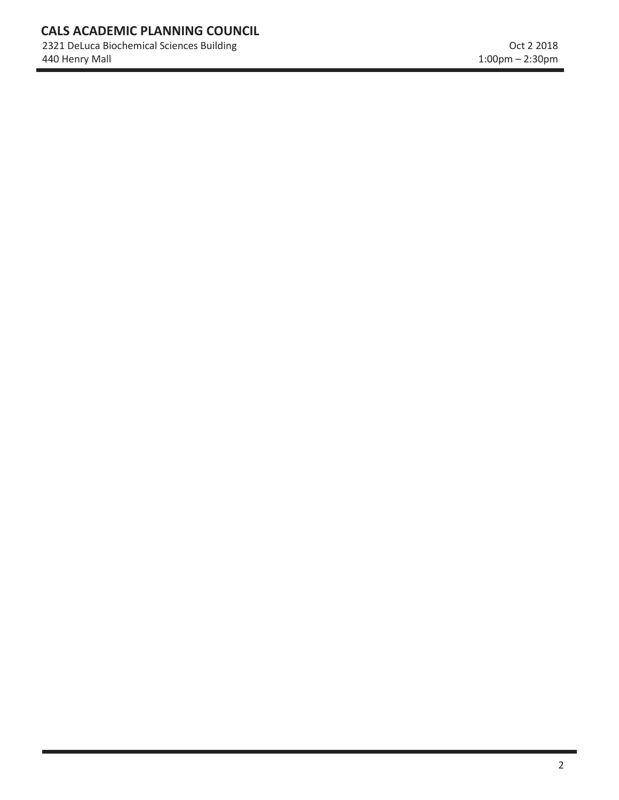### **CALS ACADEMIC PLANNING COUNCIL**

2321 DeLuca Biochemical Sciences Building 440 Henry Mall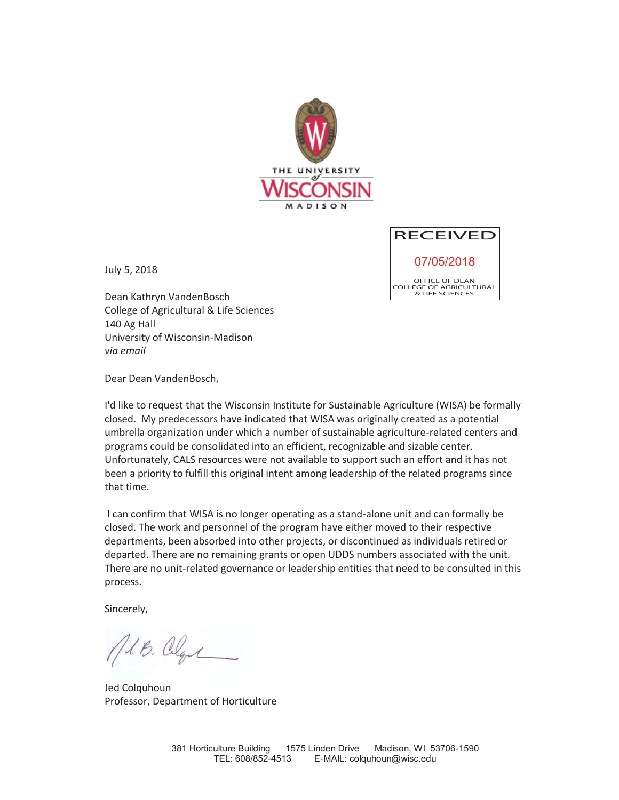

July 5, 2018

RECEIVED 07/05/2018

OFFICE OF DEAN OFFICE OF DEAN<br>COLLEGE OF AGRICULTURAL<br>& LIFE SCIENCES

Dean Kathryn VandenBosch College of Agricultural & Life Sciences 140 Ag Hall University of Wisconsin-Madison *via email*

Dear Dean VandenBosch,

I'd like to request that the Wisconsin Institute for Sustainable Agriculture (WISA) be formally closed. My predecessors have indicated that WISA was originally created as a potential umbrella organization under which a number of sustainable agriculture-related centers and programs could be consolidated into an efficient, recognizable and sizable center. Unfortunately, CALS resources were not available to support such an effort and it has not been a priority to fulfill this original intent among leadership of the related programs since that time.

 I can confirm that WISA is no longer operating as a stand-alone unit and can formally be closed. The work and personnel of the program have either moved to their respective departments, been absorbed into other projects, or discontinued as individuals retired or departed. There are no remaining grants or open UDDS numbers associated with the unit. There are no unit-related governance or leadership entities that need to be consulted in this process.

Sincerely,

AlB. algor

Jed Colquhoun Professor, Department of Horticulture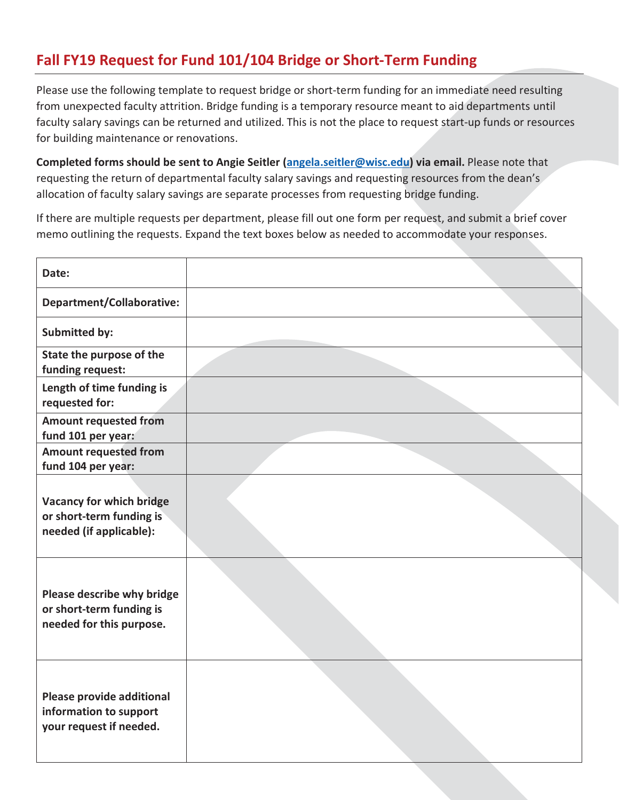## Fall FY19 Request for Fund 101/104 Bridge or Short-Term Funding

Please use the following template to request bridge or short-term funding for an immediate need resulting from unexpected faculty attrition. Bridge funding is a temporary resource meant to aid departments until faculty salary savings can be returned and utilized. This is not the place to request start-up funds or resources for building maintenance or renovations.

Completed forms should be sent to Angie Seitler (angela.seitler@wisc.edu) via email. Please note that requesting the return of departmental faculty salary savings and requesting resources from the dean's allocation of faculty salary savings are separate processes from requesting bridge funding.

If there are multiple requests per department, please fill out one form per request, and submit a brief cover memo outlining the requests. Expand the text boxes below as needed to accommodate your responses.

| Date:                                                                                  |  |
|----------------------------------------------------------------------------------------|--|
| <b>Department/Collaborative:</b>                                                       |  |
| Submitted by:                                                                          |  |
| State the purpose of the<br>funding request:                                           |  |
| Length of time funding is<br>requested for:                                            |  |
| <b>Amount requested from</b><br>fund 101 per year:                                     |  |
| <b>Amount requested from</b><br>fund 104 per year:                                     |  |
| <b>Vacancy for which bridge</b><br>or short-term funding is<br>needed (if applicable): |  |
| Please describe why bridge<br>or short-term funding is<br>needed for this purpose.     |  |
| Please provide additional<br>information to support<br>your request if needed.         |  |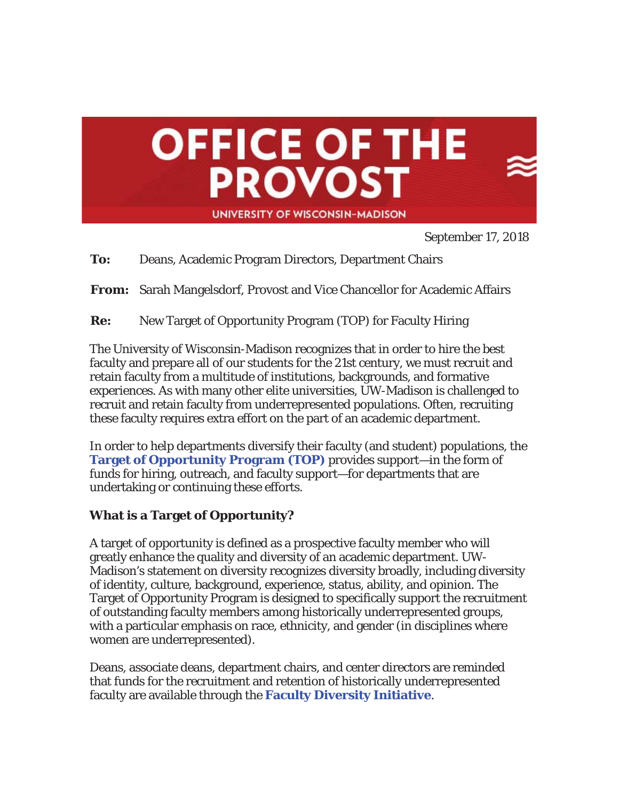

September 17, 2018

**To:** Deans, Academic Program Directors, Department Chairs

**From:** Sarah Mangelsdorf, Provost and Vice Chancellor for Academic Affairs

**Re:** New Target of Opportunity Program (TOP) for Faculty Hiring

The University of Wisconsin-Madison recognizes that in order to hire the *best* faculty and prepare all of our students for the 21st century, we must recruit and retain faculty from a multitude of institutions, backgrounds, and formative experiences. As with many other elite universities, UW-Madison is challenged to recruit and retain faculty from underrepresented populations. Often, recruiting these faculty requires extra effort on the part of an academic department.

In order to help departments diversify their faculty (and student) populations, the **Target of Opportunity Program (TOP)** provides support—in the form of funds for hiring, outreach, and faculty support—for departments that are undertaking or continuing these efforts.

### **What is a Target of Opportunity?**

A target of opportunity is defined as a prospective faculty member who will greatly enhance the quality and diversity of an academic department. UW-Madison's statement on diversity recognizes diversity broadly, including diversity of identity, culture, background, experience, status, ability, and opinion. The Target of Opportunity Program is designed to specifically support the recruitment of outstanding faculty members among historically underrepresented groups, with a particular emphasis on race, ethnicity, and gender (in disciplines where women are underrepresented).

Deans, associate deans, department chairs, and center directors are reminded that funds for the recruitment and retention of historically underrepresented faculty are available through the **Faculty Diversity Initiative**.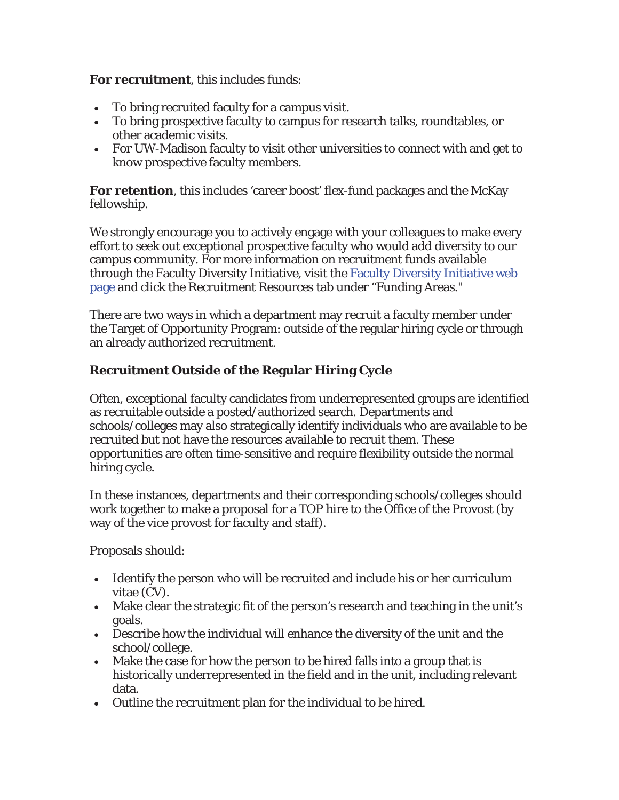#### **For recruitment**, this includes funds:

- To bring recruited faculty for a campus visit.
- To bring prospective faculty to campus for research talks, roundtables, or other academic visits.
- For UW-Madison faculty to visit other universities to connect with and get to know prospective faculty members.

**For retention**, this includes 'career boost' flex-fund packages and the McKay fellowship.

We strongly encourage you to actively engage with your colleagues to make every effort to seek out exceptional prospective faculty who would add diversity to our campus community. For more information on recruitment funds available through the Faculty Diversity Initiative, visit the Faculty Diversity Initiative web page and click the Recruitment Resources tab under "Funding Areas."

There are two ways in which a department may recruit a faculty member under the Target of Opportunity Program: outside of the regular hiring cycle or through an already authorized recruitment.

### **Recruitment Outside of the Regular Hiring Cycle**

Often, exceptional faculty candidates from underrepresented groups are identified as recruitable outside a posted/authorized search. Departments and schools/colleges may also strategically identify individuals who are available to be recruited but not have the resources available to recruit them. These opportunities are often time-sensitive and require flexibility outside the normal hiring cycle.

In these instances, departments and their corresponding schools/colleges should work together to make a proposal for a TOP hire to the Office of the Provost (by way of the vice provost for faculty and staff).

Proposals should:

- Identify the person who will be recruited and include his or her curriculum vitae (CV).
- Make clear the strategic fit of the person's research and teaching in the unit's goals.
- Describe how the individual will enhance the diversity of the unit and the school/college.
- $\bullet$  Make the case for how the person to be hired falls into a group that is historically underrepresented in the field and in the unit, including relevant data.
- Outline the recruitment plan for the individual to be hired.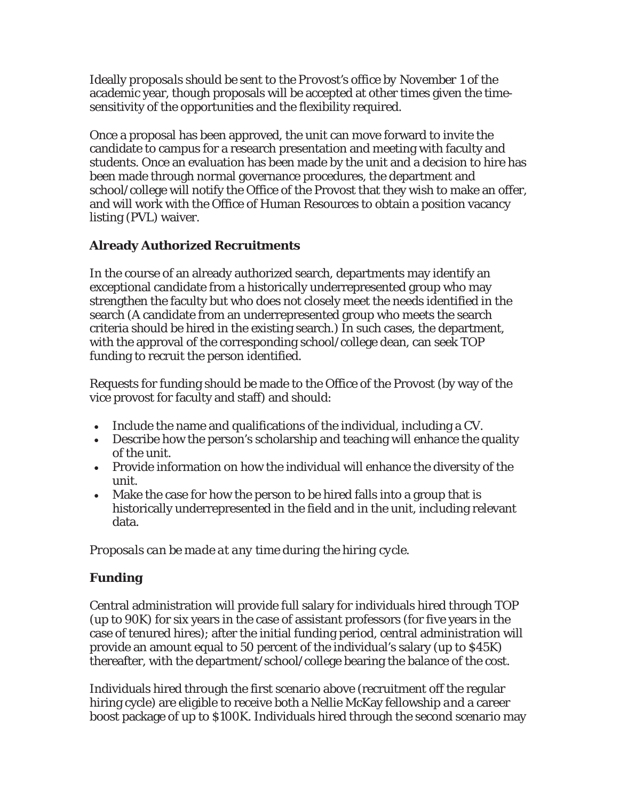Ideally *proposals should be sent to the Provost's office by November 1* of the academic year, though proposals will be accepted at other times given the timesensitivity of the opportunities and the flexibility required.

Once a proposal has been approved, the unit can move forward to invite the candidate to campus for a research presentation and meeting with faculty and students. Once an evaluation has been made by the unit and a decision to hire has been made through normal governance procedures, the department and school/college will notify the Office of the Provost that they wish to make an offer, and will work with the Office of Human Resources to obtain a position vacancy listing (PVL) waiver.

### **Already Authorized Recruitments**

In the course of an already authorized search, departments may identify an exceptional candidate from a historically underrepresented group who may strengthen the faculty but who does not closely meet the needs identified in the search (A candidate from an underrepresented group who meets the search criteria should be hired in the existing search.) In such cases, the department, with the approval of the corresponding school/college dean, can seek TOP funding to recruit the person identified.

Requests for funding should be made to the Office of the Provost (by way of the vice provost for faculty and staff) and should:

- Include the name and qualifications of the individual, including a CV.
- Describe how the person's scholarship and teaching will enhance the quality of the unit.
- Provide information on how the individual will enhance the diversity of the unit.
- $\bullet$  Make the case for how the person to be hired falls into a group that is historically underrepresented in the field and in the unit, including relevant data.

*Proposals can be made at any time during the hiring cycle.*

### **Funding**

Central administration will provide full salary for individuals hired through TOP (up to 90K) for six years in the case of assistant professors (for five years in the case of tenured hires); after the initial funding period, central administration will provide an amount equal to 50 percent of the individual's salary (up to \$45K) thereafter, with the department/school/college bearing the balance of the cost.

Individuals hired through the first scenario above (recruitment off the regular hiring cycle) are eligible to receive *both* a Nellie McKay fellowship *and* a career boost package of up to \$100K. Individuals hired through the second scenario may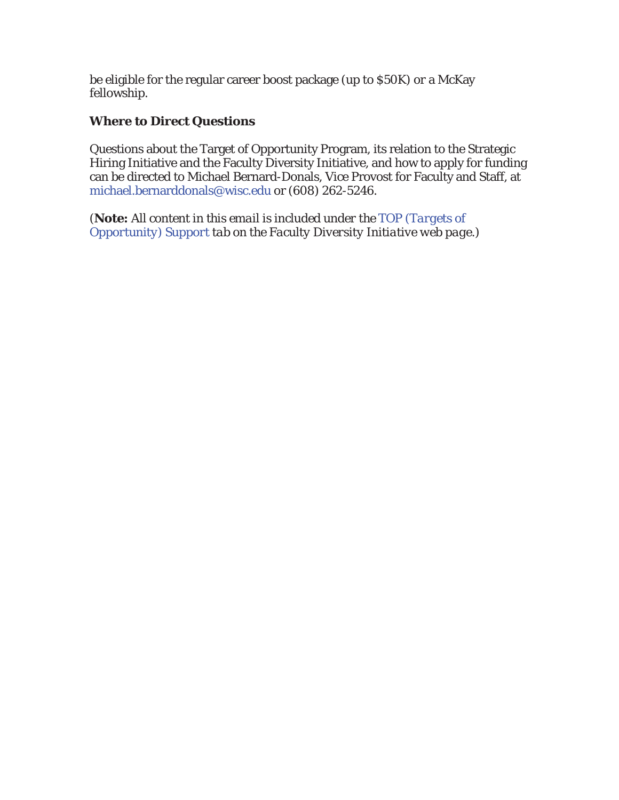be eligible for the regular career boost package (up to \$50K) *or* a McKay fellowship.

#### **Where to Direct Questions**

Questions about the Target of Opportunity Program, its relation to the Strategic Hiring Initiative and the Faculty Diversity Initiative, and how to apply for funding can be directed to Michael Bernard-Donals, Vice Provost for Faculty and Staff, at michael.bernarddonals@wisc.edu or (608) 262-5246.

*(Note: All content in this email is included under the TOP (Targets of Opportunity) Support tab on the Faculty Diversity Initiative web page.)*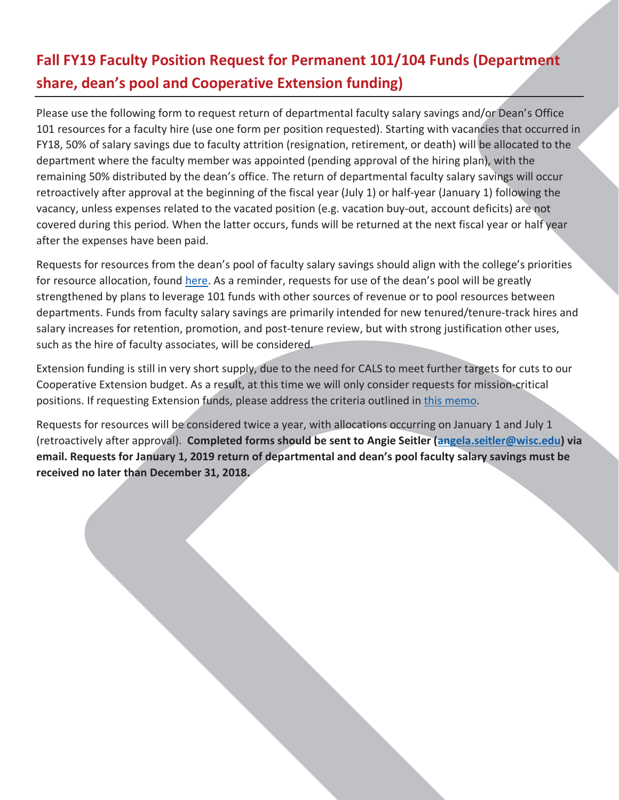# Fall FY19 Faculty Position Request for Permanent 101/104 Funds (Department share, dean's pool and Cooperative Extension funding)

Please use the following form to request return of departmental faculty salary savings and/or Dean's Office 101 resources for a faculty hire (use one form per position requested). Starting with vacancies that occurred in FY18, 50% of salary savings due to faculty attrition (resignation, retirement, or death) will be allocated to the department where the faculty member was appointed (pending approval of the hiring plan), with the remaining 50% distributed by the dean's office. The return of departmental faculty salary savings will occur retroactively after approval at the beginning of the fiscal year (July 1) or half-year (January 1) following the vacancy, unless expenses related to the vacated position (e.g. vacation buy-out, account deficits) are not covered during this period. When the latter occurs, funds will be returned at the next fiscal year or half year after the expenses have been paid.

Requests for resources from the dean's pool of faculty salary savings should align with the college's priorities for resource allocation, found here. As a reminder, requests for use of the dean's pool will be greatly strengthened by plans to leverage 101 funds with other sources of revenue or to pool resources between departments. Funds from faculty salary savings are primarily intended for new tenured/tenure-track hires and salary increases for retention, promotion, and post-tenure review, but with strong justification other uses, such as the hire of faculty associates, will be considered.

Extension funding is still in very short supply, due to the need for CALS to meet further targets for cuts to our Cooperative Extension budget. As a result, at this time we will only consider requests for mission-critical positions. If requesting Extension funds, please address the criteria outlined in this memo.

Requests for resources will be considered twice a year, with allocations occurring on January 1 and July 1 (retroactively after approval). Completed forms should be sent to Angie Seitler (angela.seitler@wisc.edu) via email. Requests for January 1, 2019 return of departmental and dean's pool faculty salary savings must be received no later than December 31, 2018.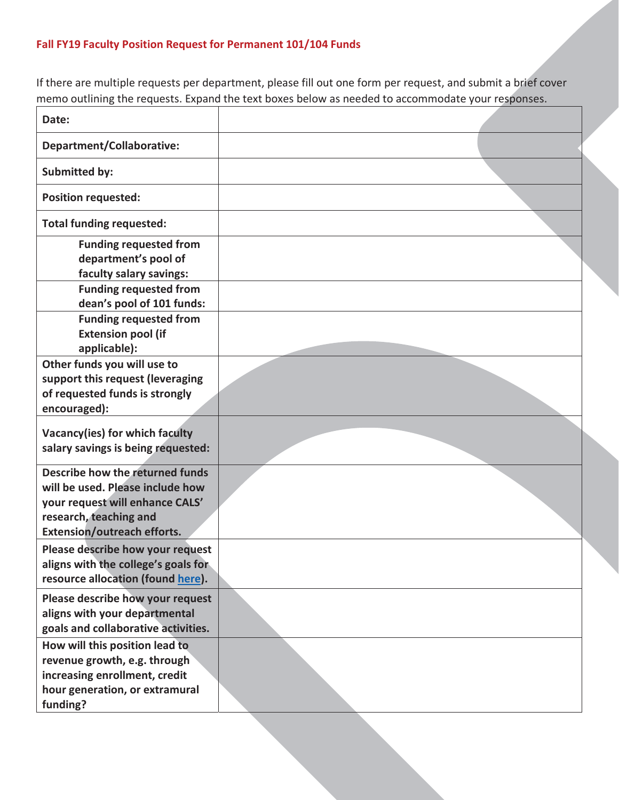#### Fall FY19 Faculty Position Request for Permanent 101/104 Funds

If there are multiple requests per department, please fill out one form per request, and submit a brief cover memo outlining the requests. Expand the text boxes below as needed to accommodate your responses.

| Date:                                                                                                                                                                  |  |
|------------------------------------------------------------------------------------------------------------------------------------------------------------------------|--|
| Department/Collaborative:                                                                                                                                              |  |
| <b>Submitted by:</b>                                                                                                                                                   |  |
| <b>Position requested:</b>                                                                                                                                             |  |
| <b>Total funding requested:</b>                                                                                                                                        |  |
| <b>Funding requested from</b><br>department's pool of<br>faculty salary savings:                                                                                       |  |
| <b>Funding requested from</b><br>dean's pool of 101 funds:                                                                                                             |  |
| <b>Funding requested from</b><br><b>Extension pool (if</b><br>applicable):                                                                                             |  |
| Other funds you will use to<br>support this request (leveraging<br>of requested funds is strongly<br>encouraged):                                                      |  |
| Vacancy(ies) for which faculty<br>salary savings is being requested:                                                                                                   |  |
| Describe how the returned funds<br>will be used. Please include how<br>your request will enhance CALS'<br>research, teaching and<br><b>Extension/outreach efforts.</b> |  |
| Please describe how your request<br>aligns with the college's goals for<br>resource allocation (found here).                                                           |  |
| Please describe how your request<br>aligns with your departmental<br>goals and collaborative activities.                                                               |  |
| How will this position lead to<br>revenue growth, e.g. through<br>increasing enrollment, credit<br>hour generation, or extramural<br>funding?                          |  |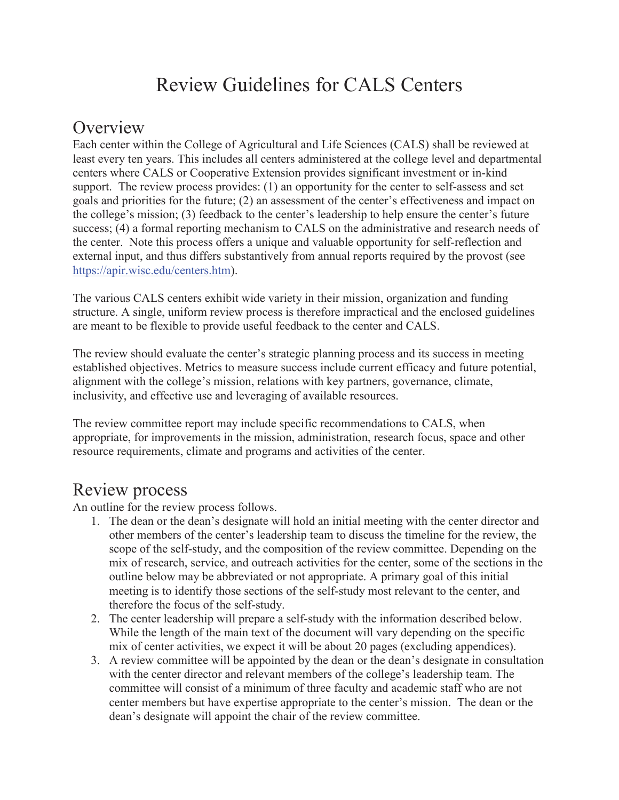# Review Guidelines for CALS Centers

# **Overview**

Each center within the College of Agricultural and Life Sciences (CALS) shall be reviewed at least every ten years. This includes all centers administered at the college level and departmental centers where CALS or Cooperative Extension provides significant investment or in-kind support. The review process provides: (1) an opportunity for the center to self-assess and set goals and priorities for the future; (2) an assessment of the center's effectiveness and impact on the college's mission; (3) feedback to the center's leadership to help ensure the center's future success; (4) a formal reporting mechanism to CALS on the administrative and research needs of the center. Note this process offers a unique and valuable opportunity for self-reflection and external input, and thus differs substantively from annual reports required by the provost (see https://apir.wisc.edu/centers.htm).

The various CALS centers exhibit wide variety in their mission, organization and funding structure. A single, uniform review process is therefore impractical and the enclosed guidelines are meant to be flexible to provide useful feedback to the center and CALS.

The review should evaluate the center's strategic planning process and its success in meeting established objectives. Metrics to measure success include current efficacy and future potential, alignment with the college's mission, relations with key partners, governance, climate, inclusivity, and effective use and leveraging of available resources.

The review committee report may include specific recommendations to CALS, when appropriate, for improvements in the mission, administration, research focus, space and other resource requirements, climate and programs and activities of the center.

# Review process

An outline for the review process follows.

- 1. The dean or the dean's designate will hold an initial meeting with the center director and other members of the center's leadership team to discuss the timeline for the review, the scope of the self-study, and the composition of the review committee. Depending on the mix of research, service, and outreach activities for the center, some of the sections in the outline below may be abbreviated or not appropriate. A primary goal of this initial meeting is to identify those sections of the self-study most relevant to the center, and therefore the focus of the self-study.
- 2. The center leadership will prepare a self-study with the information described below. While the length of the main text of the document will vary depending on the specific mix of center activities, we expect it will be about 20 pages (excluding appendices).
- 3. A review committee will be appointed by the dean or the dean's designate in consultation with the center director and relevant members of the college's leadership team. The committee will consist of a minimum of three faculty and academic staff who are not center members but have expertise appropriate to the center's mission. The dean or the dean's designate will appoint the chair of the review committee.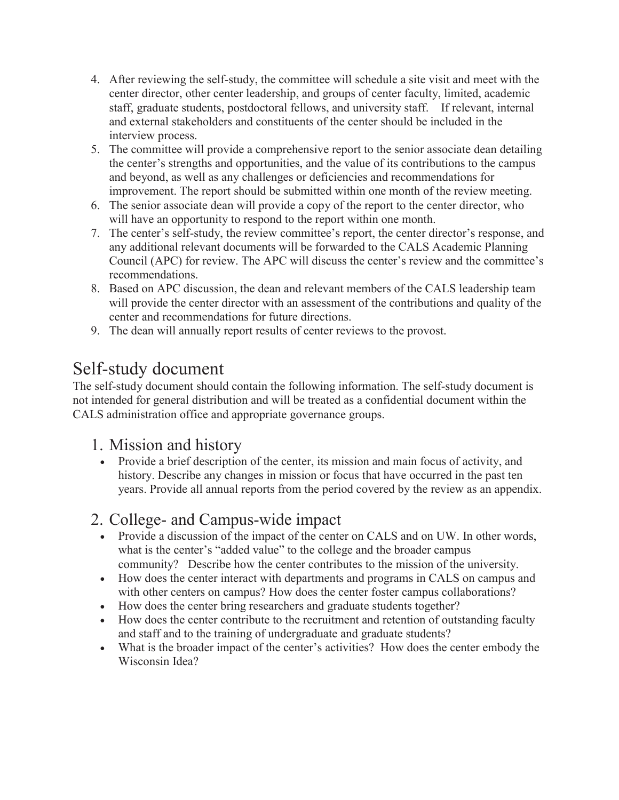- 4. After reviewing the self-study, the committee will schedule a site visit and meet with the center director, other center leadership, and groups of center faculty, limited, academic staff, graduate students, postdoctoral fellows, and university staff. If relevant, internal and external stakeholders and constituents of the center should be included in the interview process.
- 5. The committee will provide a comprehensive report to the senior associate dean detailing the center's strengths and opportunities, and the value of its contributions to the campus and beyond, as well as any challenges or deficiencies and recommendations for improvement. The report should be submitted within one month of the review meeting.
- 6. The senior associate dean will provide a copy of the report to the center director, who will have an opportunity to respond to the report within one month.
- 7. The center's self-study, the review committee's report, the center director's response, and any additional relevant documents will be forwarded to the CALS Academic Planning Council (APC) for review. The APC will discuss the center's review and the committee's recommendations.
- 8. Based on APC discussion, the dean and relevant members of the CALS leadership team will provide the center director with an assessment of the contributions and quality of the center and recommendations for future directions.
- 9. The dean will annually report results of center reviews to the provost.

# Self-study document

The self-study document should contain the following information. The self-study document is not intended for general distribution and will be treated as a confidential document within the CALS administration office and appropriate governance groups.

## 1. Mission and history

• Provide a brief description of the center, its mission and main focus of activity, and history. Describe any changes in mission or focus that have occurred in the past ten years. Provide all annual reports from the period covered by the review as an appendix.

## 2. College- and Campus-wide impact

- Provide a discussion of the impact of the center on CALS and on UW. In other words, what is the center's "added value" to the college and the broader campus community? Describe how the center contributes to the mission of the university.
- How does the center interact with departments and programs in CALS on campus and with other centers on campus? How does the center foster campus collaborations?
- How does the center bring researchers and graduate students together?
- How does the center contribute to the recruitment and retention of outstanding faculty and staff and to the training of undergraduate and graduate students?
- What is the broader impact of the center's activities? How does the center embody the Wisconsin Idea?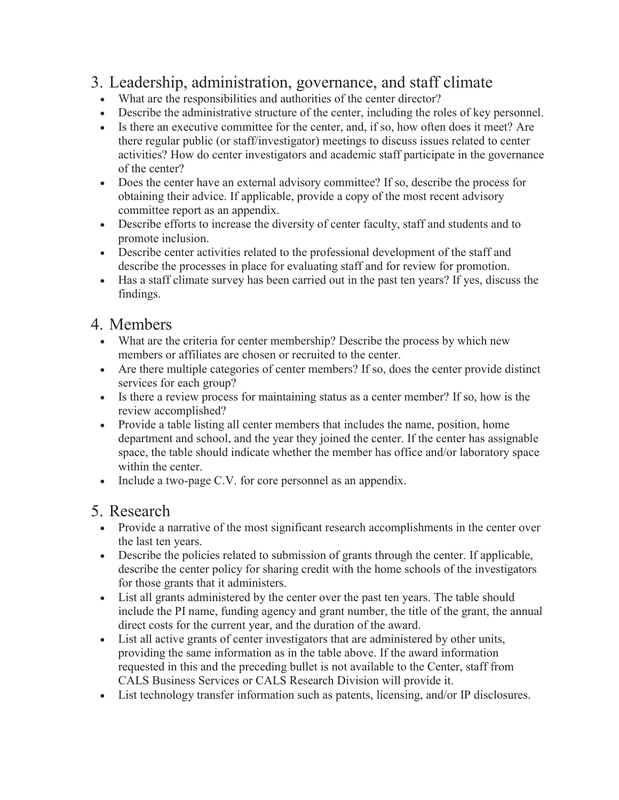## 3. Leadership, administration, governance, and staff climate

- What are the responsibilities and authorities of the center director?
- Describe the administrative structure of the center, including the roles of key personnel.
- $\bullet$  Is there an executive committee for the center, and, if so, how often does it meet? Are there regular public (or staff/investigator) meetings to discuss issues related to center activities? How do center investigators and academic staff participate in the governance of the center?
- Does the center have an external advisory committee? If so, describe the process for obtaining their advice. If applicable, provide a copy of the most recent advisory committee report as an appendix.
- Describe efforts to increase the diversity of center faculty, staff and students and to promote inclusion.
- Describe center activities related to the professional development of the staff and describe the processes in place for evaluating staff and for review for promotion.
- x Has a staff climate survey has been carried out in the past ten years? If yes, discuss the findings.

## 4. Members

- What are the criteria for center membership? Describe the process by which new members or affiliates are chosen or recruited to the center.
- $\bullet$  Are there multiple categories of center members? If so, does the center provide distinct services for each group?
- Is there a review process for maintaining status as a center member? If so, how is the review accomplished?
- Provide a table listing all center members that includes the name, position, home department and school, and the year they joined the center. If the center has assignable space, the table should indicate whether the member has office and/or laboratory space within the center.
- $\bullet$  Include a two-page C.V. for core personnel as an appendix.

## 5. Research

- Provide a narrative of the most significant research accomplishments in the center over the last ten years.
- Describe the policies related to submission of grants through the center. If applicable, describe the center policy for sharing credit with the home schools of the investigators for those grants that it administers.
- List all grants administered by the center over the past ten years. The table should include the PI name, funding agency and grant number, the title of the grant, the annual direct costs for the current year, and the duration of the award.
- List all active grants of center investigators that are administered by other units, providing the same information as in the table above. If the award information requested in this and the preceding bullet is not available to the Center, staff from CALS Business Services or CALS Research Division will provide it.
- List technology transfer information such as patents, licensing, and/or IP disclosures.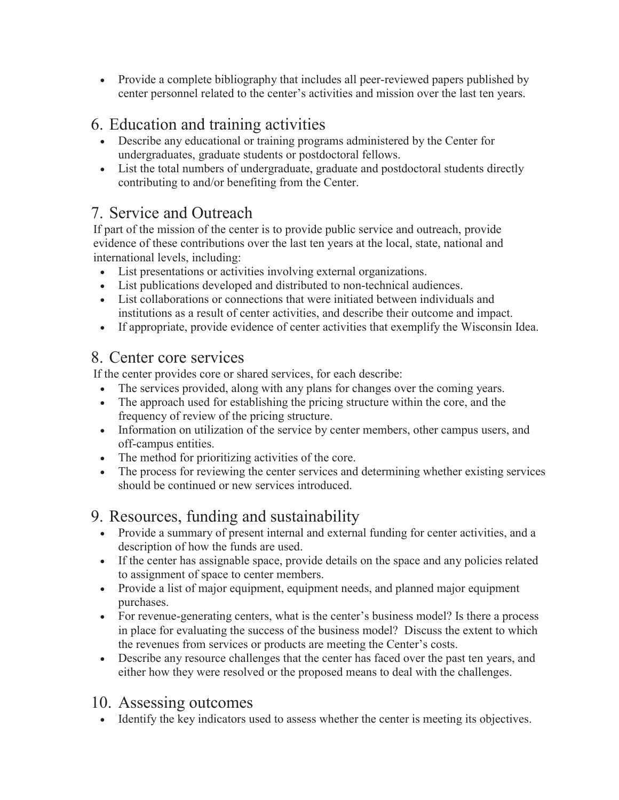• Provide a complete bibliography that includes all peer-reviewed papers published by center personnel related to the center's activities and mission over the last ten years.

# 6. Education and training activities

- Describe any educational or training programs administered by the Center for undergraduates, graduate students or postdoctoral fellows.
- List the total numbers of undergraduate, graduate and postdoctoral students directly contributing to and/or benefiting from the Center.

## 7. Service and Outreach

If part of the mission of the center is to provide public service and outreach, provide evidence of these contributions over the last ten years at the local, state, national and international levels, including:

- List presentations or activities involving external organizations.
- List publications developed and distributed to non-technical audiences.
- List collaborations or connections that were initiated between individuals and institutions as a result of center activities, and describe their outcome and impact.
- x If appropriate, provide evidence of center activities that exemplify the Wisconsin Idea.

## 8. Center core services

If the center provides core or shared services, for each describe:

- The services provided, along with any plans for changes over the coming years.
- The approach used for establishing the pricing structure within the core, and the frequency of review of the pricing structure.
- Information on utilization of the service by center members, other campus users, and off-campus entities.
- The method for prioritizing activities of the core.
- The process for reviewing the center services and determining whether existing services should be continued or new services introduced.

# 9. Resources, funding and sustainability

- Provide a summary of present internal and external funding for center activities, and a description of how the funds are used.
- If the center has assignable space, provide details on the space and any policies related to assignment of space to center members.
- Provide a list of major equipment, equipment needs, and planned major equipment purchases.
- For revenue-generating centers, what is the center's business model? Is there a process in place for evaluating the success of the business model? Discuss the extent to which the revenues from services or products are meeting the Center's costs.
- Describe any resource challenges that the center has faced over the past ten years, and either how they were resolved or the proposed means to deal with the challenges.

## 10. Assessing outcomes

• Identify the key indicators used to assess whether the center is meeting its objectives.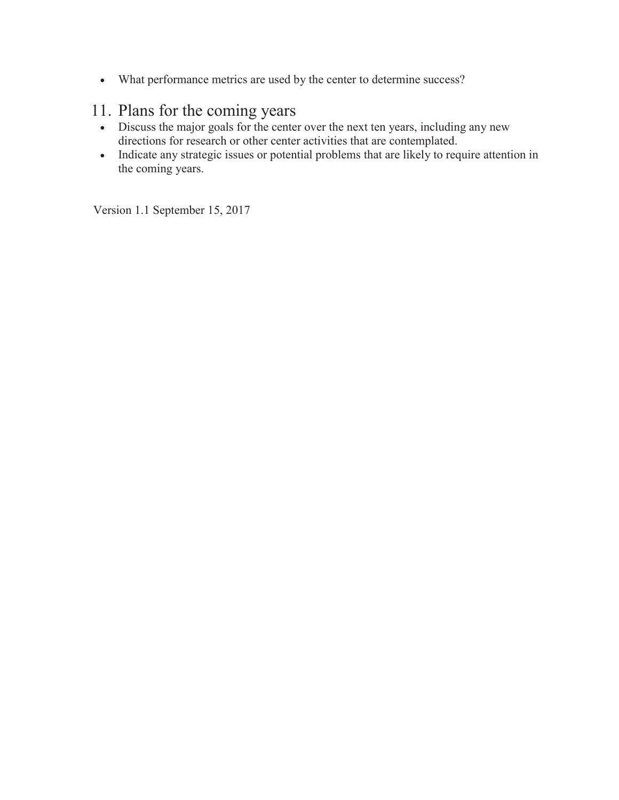• What performance metrics are used by the center to determine success?

## 11. Plans for the coming years

- $\bullet$  Discuss the major goals for the center over the next ten years, including any new directions for research or other center activities that are contemplated.
- Indicate any strategic issues or potential problems that are likely to require attention in the coming years.

Version 1.1 September 15, 2017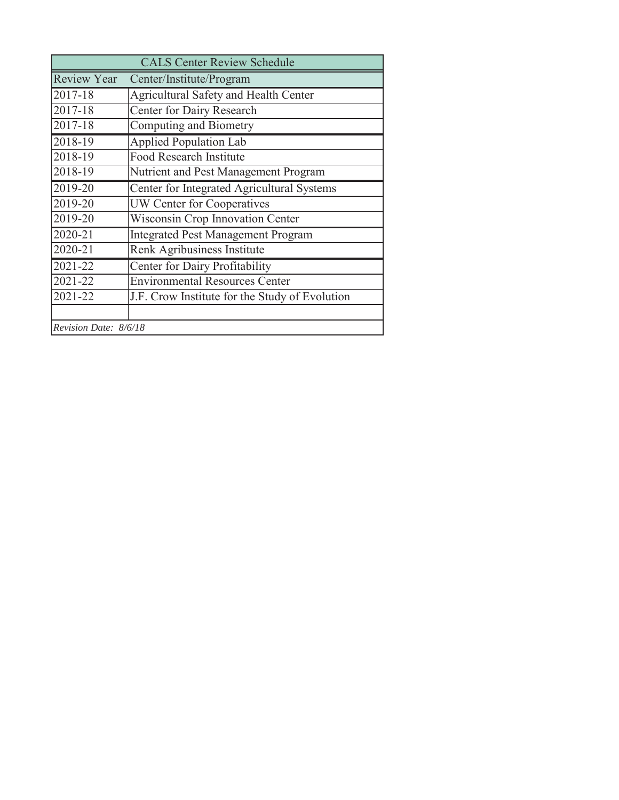| <b>CALS Center Review Schedule</b> |                                                |  |  |
|------------------------------------|------------------------------------------------|--|--|
| <b>Review Year</b>                 | Center/Institute/Program                       |  |  |
| 2017-18                            | Agricultural Safety and Health Center          |  |  |
| 2017-18                            | Center for Dairy Research                      |  |  |
| 2017-18                            | Computing and Biometry                         |  |  |
| 2018-19                            | <b>Applied Population Lab</b>                  |  |  |
| 2018-19                            | <b>Food Research Institute</b>                 |  |  |
| 2018-19                            | Nutrient and Pest Management Program           |  |  |
| 2019-20                            | Center for Integrated Agricultural Systems     |  |  |
| 2019-20                            | UW Center for Cooperatives                     |  |  |
| 2019-20                            | <b>Wisconsin Crop Innovation Center</b>        |  |  |
| 2020-21                            | <b>Integrated Pest Management Program</b>      |  |  |
| 2020-21                            | Renk Agribusiness Institute                    |  |  |
| 2021-22                            | Center for Dairy Profitability                 |  |  |
| 2021-22                            | <b>Environmental Resources Center</b>          |  |  |
| 2021-22                            | J.F. Crow Institute for the Study of Evolution |  |  |
|                                    |                                                |  |  |
| Revision Date: 8/6/18              |                                                |  |  |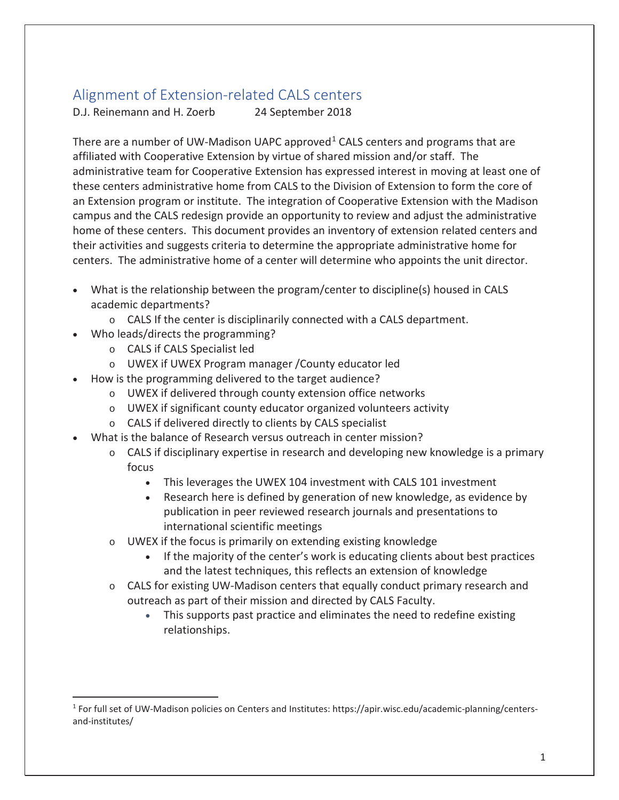## Alignment of Extension-related CALS centers

D.J. Reinemann and H. Zoerb 24 September 2018

There are a number of UW-Madison UAPC approved  $^1$  CALS centers and programs that are affiliated with Cooperative Extension by virtue of shared mission and/or staff. The administrative team for Cooperative Extension has expressed interest in moving at least one of these centers administrative home from CALS to the Division of Extension to form the core of an Extension program or institute. The integration of Cooperative Extension with the Madison campus and the CALS redesign provide an opportunity to review and adjust the administrative home of these centers. This document provides an inventory of extension related centers and their activities and suggests criteria to determine the appropriate administrative home for centers. The administrative home of a center will determine who appoints the unit director.

- What is the relationship between the program/center to discipline(s) housed in CALS academic departments?
	- o CALS If the center is disciplinarily connected with a CALS department.
- x Who leads/directs the programming?

 $\overline{a}$ 

- o CALS if CALS Specialist led
- o UWEX if UWEX Program manager /County educator led
- How is the programming delivered to the target audience?
	- o UWEX if delivered through county extension office networks
	- o UWEX if significant county educator organized volunteers activity
	- o CALS if delivered directly to clients by CALS specialist
- What is the balance of Research versus outreach in center mission?
	- $\circ$  CALS if disciplinary expertise in research and developing new knowledge is a primary focus
		- This leverages the UWEX 104 investment with CALS 101 investment
		- Research here is defined by generation of new knowledge, as evidence by publication in peer reviewed research journals and presentations to international scientific meetings
	- o UWEX if the focus is primarily on extending existing knowledge
		- If the majority of the center's work is educating clients about best practices and the latest techniques, this reflects an extension of knowledge
	- $\circ$  CALS for existing UW-Madison centers that equally conduct primary research and outreach as part of their mission and directed by CALS Faculty.
		- This supports past practice and eliminates the need to redefine existing relationships.

<sup>1</sup> For full set of UW-Madison policies on Centers and Institutes: https://apir.wisc.edu/academic-planning/centersand-institutes/